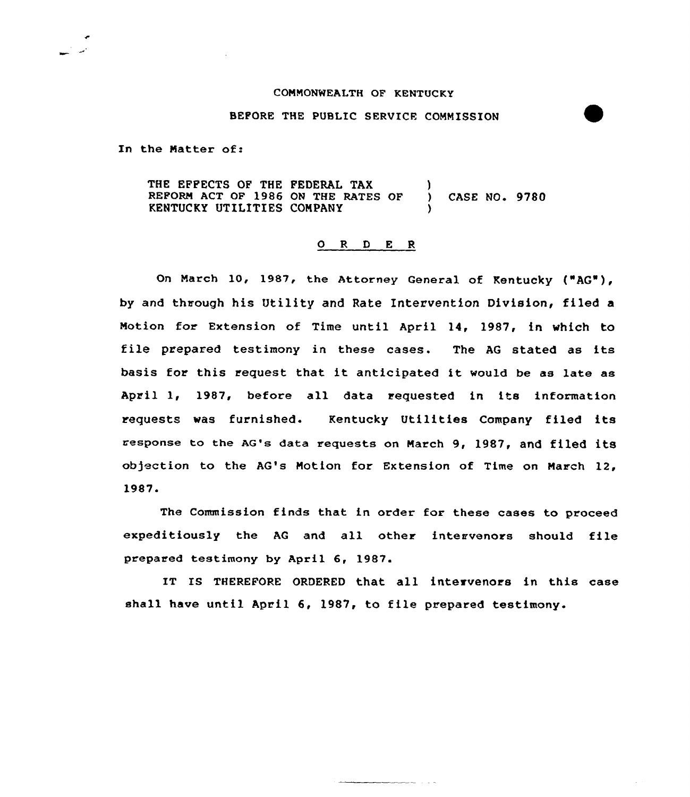## COMMONWEALTH OF KENTUCKY

## BEFORE THE PUBLIC SERVICE COMMISSION

In the Natter of:

THE EFFECTS OF THE FEDERAL TAX REFORM ACT OF 1986 ON THE RATES OF KENTUCKY UTILITIES COMPANY ) ) CASE NO. 9780 )

## O R D E R

On March 10, 1987, the Attorney General of Kentucky ("AG"), by and through his Utility and Rate Intervention Division, filed a Motion for Extension of Time until April 14, 1987, in which to file prepared testimony in these cases. The AG stated as its basis for this request that it anticipated it would be as late as April 1, 1987, before all data requested in its information requests was furnished. Kentucky Utilities Company filed its response to the AG's data requests on March 9, 1987, and filed its objection to the AG's Motion for Extension of Time on March 12, 1987.

The Commission finds that in order for these cases to proceed expeditiously the AG and all other intervenors should file prepared testimony by April 6, 1987.

IT IS THEREFORE ORDERED that all intervenors in this case shall have until April 6, l987, to file prepared testimony.